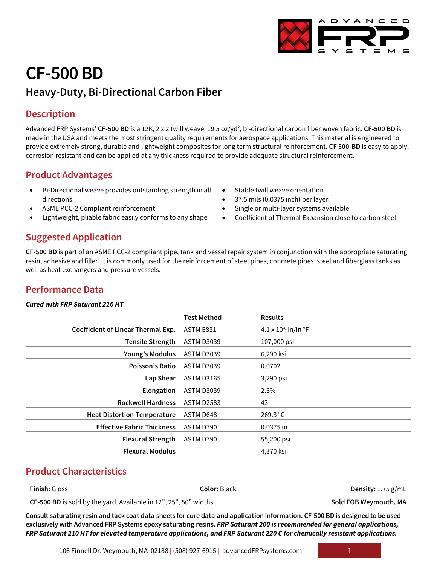# **CF-500 BD**

## **Heavy-Duty, Bi-Directional Carbon Fiber**

## **Description**

Advanced FRP Systems' **CF-500 BD** is a 12K, 2 x 2 twill weave, 19.5 oz/yd<sup>2</sup>, bi-directional carbon fiber woven fabric. **CF-500 BD** is made in the USA and meets the most stringent quality requirements for aerospace applications. This material is engineered to provide extremely strong, durable and lightweight composites for long term structural reinforcement. **CF 500-BD** is easy to apply, corrosion resistant and can be applied at any thickness required to provide adequate structural reinforcement.

## **Product Advantages**

- Bi-Directional weave provides outstanding strength in all directions
- ASME PCC-2 Compliant reinforcement
- Lightweight, pliable fabric easily conforms to any shape

### **Suggested Application**

**CF-500 BD** is part of an ASME PCC-2 compliant pipe, tank and vessel repair system in conjunction with the appropriate saturating resin, adhesive and filler. It is commonly used for the reinforcement of steel pipes, concrete pipes, steel and fiberglass tanks as well as heat exchangers and pressure vessels.

## **Performance Data**

#### *Cured with FRP Saturant 210 HT*

|                                           | <b>Test Method</b> | <b>Results</b>                    |
|-------------------------------------------|--------------------|-----------------------------------|
| <b>Coefficient of Linear Thermal Exp.</b> | ASTM E831          | 4.1 x $10^{-6}$ in/in $\degree$ F |
| <b>Tensile Strength</b>                   | <b>ASTM D3039</b>  | 107,000 psi                       |
| Young's Modulus                           | <b>ASTM D3039</b>  | 6,290 ksi                         |
| Poisson's Ratio                           | <b>ASTM D3039</b>  | 0.0702                            |
| Lap Shear                                 | <b>ASTM D3165</b>  | 3,290 psi                         |
| Elongation                                | <b>ASTM D3039</b>  | 2.5%                              |
| <b>Rockwell Hardness</b>                  | <b>ASTM D2583</b>  | 43                                |
| <b>Heat Distortion Temperature</b>        | ASTM D648          | 269.3 °C                          |
| <b>Effective Fabric Thickness</b>         | ASTM D790          | 0.0375 in                         |
| <b>Flexural Strength</b>                  | ASTM D790          | 55,200 psi                        |
| <b>Flexural Modulus</b>                   |                    | 4,370 ksi                         |
|                                           |                    |                                   |

## **Product Characteristics**

**Finish:** Gloss **Color:** Black **Density:** 1.75 g/mL

CF-500 BD is sold by the yard. Available in 12", 25", 50" widths. **Sold FOB Weymouth, MA** 

**Consult saturating resin and tack coat data sheets for cure data and application information. CF-500 BD is designed to be used exclusively with Advanced FRP Systems epoxy saturating resins.** *FRP Saturant 200 is recommended for general applications, FRP Saturant 210 HT for elevated temperature applications, and FRP Saturant 220 C for chemically resistant applications.*



- 37.5 mils (0.0375 inch) per layer
- Single or multi-layer systems available
- Coefficient of Thermal Expansion close to carbon steel